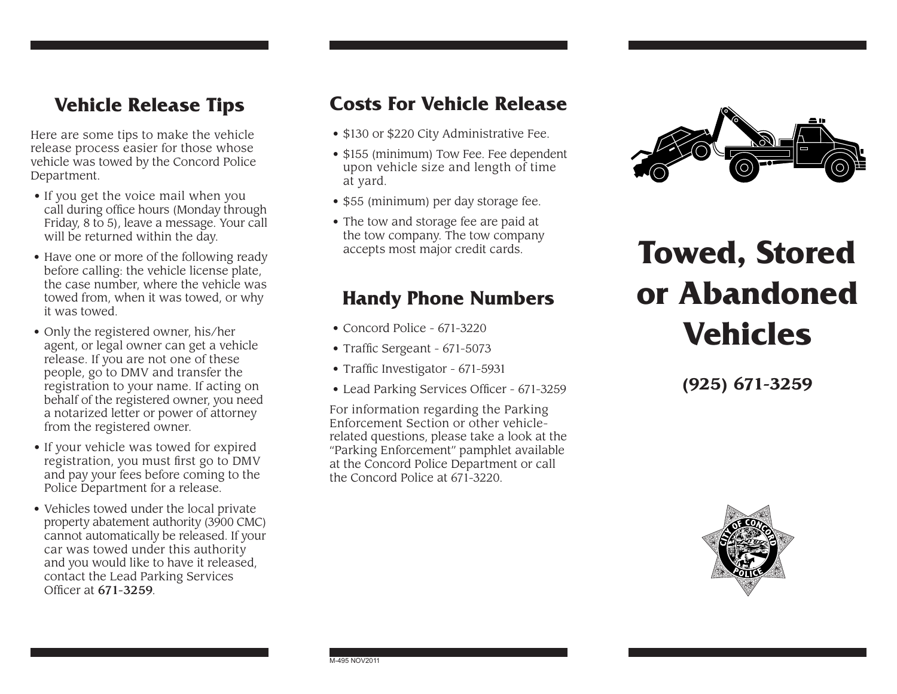### **Vehicle Release Tips**

Here are some tips to make the vehicle release process easier for those whose vehicle was towed by the Concord Police Department.

- If you get the voice mail when you call during office hours (Monday through Friday, 8 to 5), leave a message. Your call will be returned within the day.
- Have one or more of the following ready before calling: the vehicle license plate, the case number, where the vehicle was towed from, when it was towed, or why it was towed.
- Only the registered owner, his/her agent, or legal owner can get a vehicle release. If you are not one of these people, go to DMV and transfer the registration to your name. If acting on behalf of the registered owner, you need a notarized letter or power of attorney from the registered owner.
- If your vehicle was towed for expired registration, you must first go to DMV and pay your fees before coming to the Police Department for a release.
- Vehicles towed under the local private property abatement authority (3900 CMC) cannot automatically be released. If your car was towed under this authority and you would like to have it released, contact the Lead Parking Services Officer at 671-3259.

### **Costs For Vehicle Release**

- \$130 or \$220 City Administrative Fee.
- \$155 (minimum) Tow Fee. Fee dependent upon vehicle size and length of time at yard.
- \$55 (minimum) per day storage fee.
- The tow and storage fee are paid at the tow company. The tow company accepts most major credit cards.

#### **Handy Phone Numbers**

- Concord Police 671-3220
- Traffic Sergeant 671-5073
- Traffic Investigator 671-5931
- Lead Parking Services Officer 671-3259

For information regarding the Parking Enforcement Section or other vehiclerelated questions, please take a look at the "Parking Enforcement" pamphlet available at the Concord Police Department or call the Concord Police at 671-3220.



# **Towed, Stored or Abandoned Vehicles**

**(925) 671-3259**